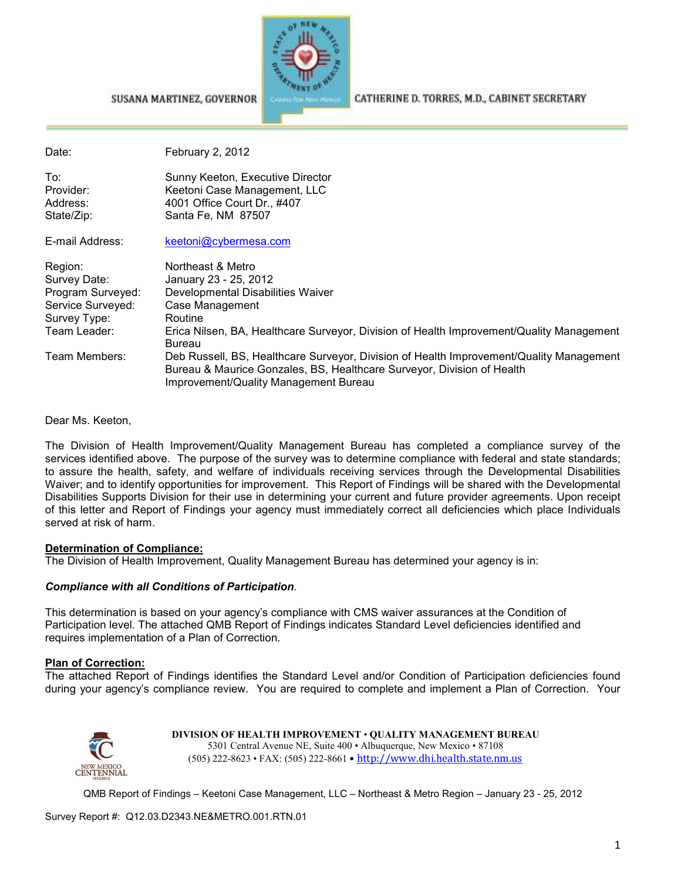

CATHERINE D. TORRES, M.D., CABINET SECRETARY

| Date:                                      | February 2, 2012                                                                                                      |  |
|--------------------------------------------|-----------------------------------------------------------------------------------------------------------------------|--|
| To:<br>Provider:<br>Address:<br>State/Zip: | Sunny Keeton, Executive Director<br>Keetoni Case Management, LLC<br>4001 Office Court Dr., #407<br>Santa Fe, NM 87507 |  |
| E-mail Address:                            | keetoni@cybermesa.com                                                                                                 |  |
| Region:<br>Survey Date:                    | Northeast & Metro<br>January 23 - 25, 2012                                                                            |  |

| 1.040011          | no u icasi a mcuo                                                                        |
|-------------------|------------------------------------------------------------------------------------------|
| Survey Date:      | January 23 - 25, 2012                                                                    |
| Program Surveyed: | Developmental Disabilities Waiver                                                        |
| Service Surveyed: | Case Management                                                                          |
| Survey Type:      | Routine                                                                                  |
| Team Leader:      | Erica Nilsen, BA, Healthcare Surveyor, Division of Health Improvement/Quality Management |
|                   | Bureau                                                                                   |
| Team Members:     | Deb Russell, BS, Healthcare Surveyor, Division of Health Improvement/Quality Management  |
|                   | Bureau & Maurice Gonzales, BS, Healthcare Surveyor, Division of Health                   |
|                   | Improvement/Quality Management Bureau                                                    |
|                   |                                                                                          |

Dear Ms. Keeton,

The Division of Health Improvement/Quality Management Bureau has completed a compliance survey of the services identified above. The purpose of the survey was to determine compliance with federal and state standards; to assure the health, safety, and welfare of individuals receiving services through the Developmental Disabilities Waiver; and to identify opportunities for improvement. This Report of Findings will be shared with the Developmental Disabilities Supports Division for their use in determining your current and future provider agreements. Upon receipt of this letter and Report of Findings your agency must immediately correct all deficiencies which place Individuals served at risk of harm.

#### **Determination of Compliance:**

The Division of Health Improvement, Quality Management Bureau has determined your agency is in:

#### *Compliance with all Conditions of Participation*.

SUSANA MARTINEZ, GOVERNOR

This determination is based on your agency's compliance with CMS waiver assurances at the Condition of Participation level. The attached QMB Report of Findings indicates Standard Level deficiencies identified and requires implementation of a Plan of Correction.

#### **Plan of Correction:**

The attached Report of Findings identifies the Standard Level and/or Condition of Participation deficiencies found during your agency's compliance review. You are required to complete and implement a Plan of Correction. Your



**DIVISION OF HEALTH IMPROVEMENT** • **QUALITY MANAGEMENT BUREAU** 5301 Central Avenue NE, Suite 400 • Albuquerque, New Mexico • 87108 (505) 222-8623 • FAX: (505) 222-8661 • http://www.dhi.health.state.nm.us

QMB Report of Findings – Keetoni Case Management, LLC – Northeast & Metro Region – January 23 - 25, 2012

Survey Report #: Q12.03.D2343.NE&METRO.001.RTN.01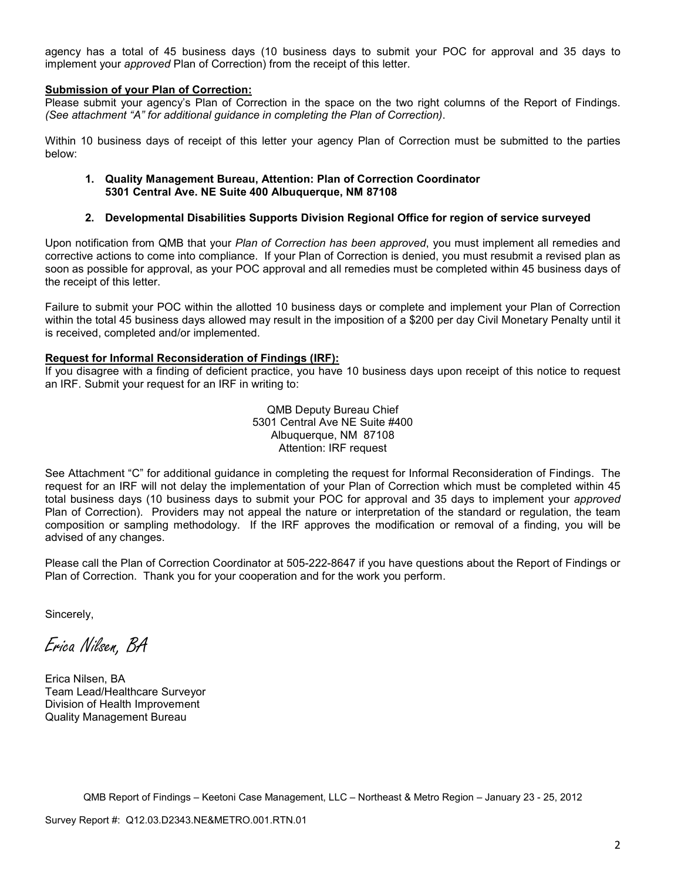agency has a total of 45 business days (10 business days to submit your POC for approval and 35 days to implement your *approved* Plan of Correction) from the receipt of this letter.

#### **Submission of your Plan of Correction:**

Please submit your agency's Plan of Correction in the space on the two right columns of the Report of Findings. *(See attachment "A" for additional guidance in completing the Plan of Correction)*.

Within 10 business days of receipt of this letter your agency Plan of Correction must be submitted to the parties below:

#### **1. Quality Management Bureau, Attention: Plan of Correction Coordinator 5301 Central Ave. NE Suite 400 Albuquerque, NM 87108**

#### **2. Developmental Disabilities Supports Division Regional Office for region of service surveyed**

Upon notification from QMB that your *Plan of Correction has been approved*, you must implement all remedies and corrective actions to come into compliance. If your Plan of Correction is denied, you must resubmit a revised plan as soon as possible for approval, as your POC approval and all remedies must be completed within 45 business days of the receipt of this letter.

Failure to submit your POC within the allotted 10 business days or complete and implement your Plan of Correction within the total 45 business days allowed may result in the imposition of a \$200 per day Civil Monetary Penalty until it is received, completed and/or implemented.

#### **Request for Informal Reconsideration of Findings (IRF):**

If you disagree with a finding of deficient practice, you have 10 business days upon receipt of this notice to request an IRF. Submit your request for an IRF in writing to:

> QMB Deputy Bureau Chief 5301 Central Ave NE Suite #400 Albuquerque, NM 87108 Attention: IRF request

See Attachment "C" for additional guidance in completing the request for Informal Reconsideration of Findings. The request for an IRF will not delay the implementation of your Plan of Correction which must be completed within 45 total business days (10 business days to submit your POC for approval and 35 days to implement your *approved* Plan of Correction). Providers may not appeal the nature or interpretation of the standard or regulation, the team composition or sampling methodology. If the IRF approves the modification or removal of a finding, you will be advised of any changes.

Please call the Plan of Correction Coordinator at 505-222-8647 if you have questions about the Report of Findings or Plan of Correction. Thank you for your cooperation and for the work you perform.

Sincerely,

Erica Nilsen, BA

Erica Nilsen, BA Team Lead/Healthcare Surveyor Division of Health Improvement Quality Management Bureau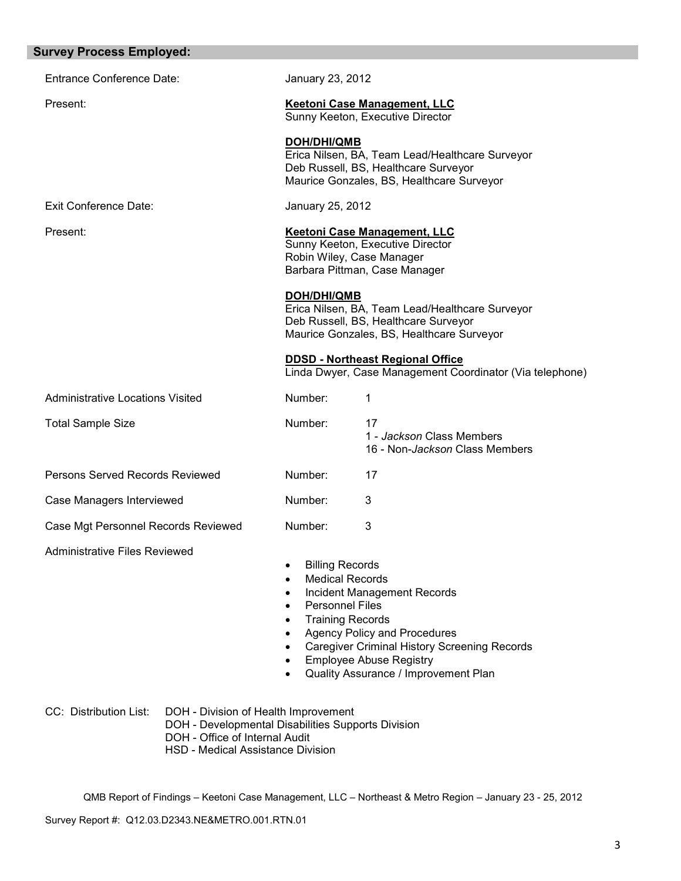| <b>Survey Process Employed:</b>         |                                                                                                                                                                                                                                                                                                                                                                       |  |
|-----------------------------------------|-----------------------------------------------------------------------------------------------------------------------------------------------------------------------------------------------------------------------------------------------------------------------------------------------------------------------------------------------------------------------|--|
| <b>Entrance Conference Date:</b>        | January 23, 2012                                                                                                                                                                                                                                                                                                                                                      |  |
| Present:                                | <b>Keetoni Case Management, LLC</b><br>Sunny Keeton, Executive Director                                                                                                                                                                                                                                                                                               |  |
|                                         | <b>DOH/DHI/QMB</b><br>Erica Nilsen, BA, Team Lead/Healthcare Surveyor<br>Deb Russell, BS, Healthcare Surveyor<br>Maurice Gonzales, BS, Healthcare Surveyor                                                                                                                                                                                                            |  |
| Exit Conference Date:                   | January 25, 2012                                                                                                                                                                                                                                                                                                                                                      |  |
| Present:                                | Keetoni Case Management, LLC<br>Sunny Keeton, Executive Director<br>Robin Wiley, Case Manager<br>Barbara Pittman, Case Manager                                                                                                                                                                                                                                        |  |
|                                         | <b>DOH/DHI/QMB</b><br>Erica Nilsen, BA, Team Lead/Healthcare Surveyor<br>Deb Russell, BS, Healthcare Surveyor<br>Maurice Gonzales, BS, Healthcare Surveyor                                                                                                                                                                                                            |  |
|                                         | <b>DDSD - Northeast Regional Office</b><br>Linda Dwyer, Case Management Coordinator (Via telephone)                                                                                                                                                                                                                                                                   |  |
| <b>Administrative Locations Visited</b> | Number:<br>1                                                                                                                                                                                                                                                                                                                                                          |  |
| <b>Total Sample Size</b>                | Number:<br>17<br>1 - Jackson Class Members<br>16 - Non-Jackson Class Members                                                                                                                                                                                                                                                                                          |  |
| Persons Served Records Reviewed         | Number:<br>17                                                                                                                                                                                                                                                                                                                                                         |  |
| Case Managers Interviewed               | Number:<br>3                                                                                                                                                                                                                                                                                                                                                          |  |
| Case Mgt Personnel Records Reviewed     | 3<br>Number:                                                                                                                                                                                                                                                                                                                                                          |  |
| <b>Administrative Files Reviewed</b>    | <b>Billing Records</b><br><b>Medical Records</b><br>٠<br>Incident Management Records<br>$\bullet$<br><b>Personnel Files</b><br>$\bullet$<br><b>Training Records</b><br>$\bullet$<br><b>Agency Policy and Procedures</b><br>$\bullet$<br><b>Caregiver Criminal History Screening Records</b><br><b>Employee Abuse Registry</b><br>Quality Assurance / Improvement Plan |  |

| CC: Distribution List: | DOH - Division of Health Improvement |  |
|------------------------|--------------------------------------|--|
|------------------------|--------------------------------------|--|

- DOH Developmental Disabilities Supports Division
- DOH Office of Internal Audit
	- HSD Medical Assistance Division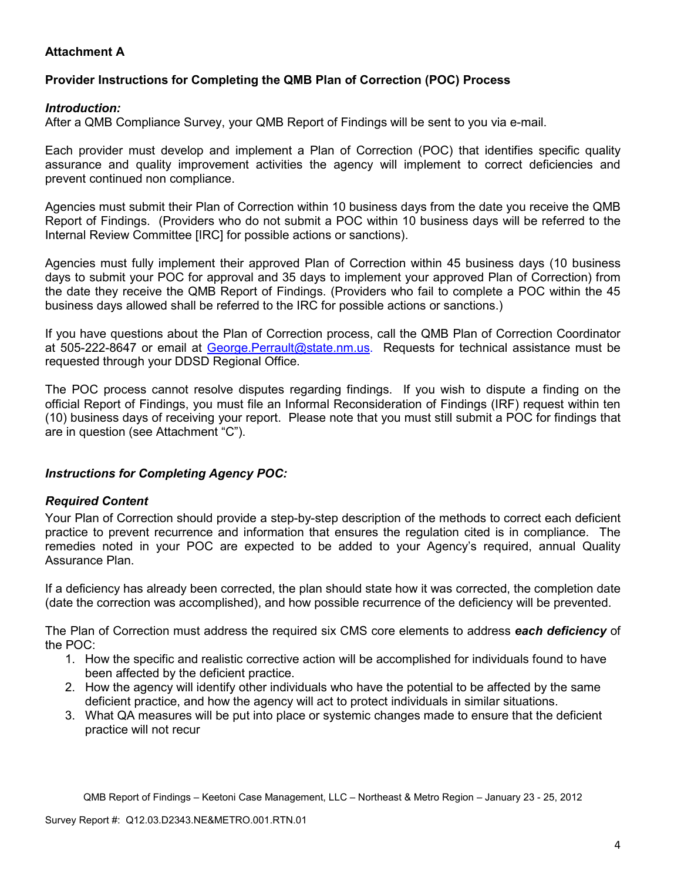## **Attachment A**

## **Provider Instructions for Completing the QMB Plan of Correction (POC) Process**

### *Introduction:*

After a QMB Compliance Survey, your QMB Report of Findings will be sent to you via e-mail.

Each provider must develop and implement a Plan of Correction (POC) that identifies specific quality assurance and quality improvement activities the agency will implement to correct deficiencies and prevent continued non compliance.

Agencies must submit their Plan of Correction within 10 business days from the date you receive the QMB Report of Findings. (Providers who do not submit a POC within 10 business days will be referred to the Internal Review Committee [IRC] for possible actions or sanctions).

Agencies must fully implement their approved Plan of Correction within 45 business days (10 business days to submit your POC for approval and 35 days to implement your approved Plan of Correction) from the date they receive the QMB Report of Findings. (Providers who fail to complete a POC within the 45 business days allowed shall be referred to the IRC for possible actions or sanctions.)

If you have questions about the Plan of Correction process, call the QMB Plan of Correction Coordinator at 505-222-8647 or email at George. Perrault@state.nm.us. Requests for technical assistance must be requested through your DDSD Regional Office.

The POC process cannot resolve disputes regarding findings. If you wish to dispute a finding on the official Report of Findings, you must file an Informal Reconsideration of Findings (IRF) request within ten (10) business days of receiving your report. Please note that you must still submit a POC for findings that are in question (see Attachment "C").

### *Instructions for Completing Agency POC:*

### *Required Content*

Your Plan of Correction should provide a step-by-step description of the methods to correct each deficient practice to prevent recurrence and information that ensures the regulation cited is in compliance. The remedies noted in your POC are expected to be added to your Agency's required, annual Quality Assurance Plan.

If a deficiency has already been corrected, the plan should state how it was corrected, the completion date (date the correction was accomplished), and how possible recurrence of the deficiency will be prevented.

The Plan of Correction must address the required six CMS core elements to address *each deficiency* of the POC:

- 1. How the specific and realistic corrective action will be accomplished for individuals found to have been affected by the deficient practice.
- 2. How the agency will identify other individuals who have the potential to be affected by the same deficient practice, and how the agency will act to protect individuals in similar situations.
- 3. What QA measures will be put into place or systemic changes made to ensure that the deficient practice will not recur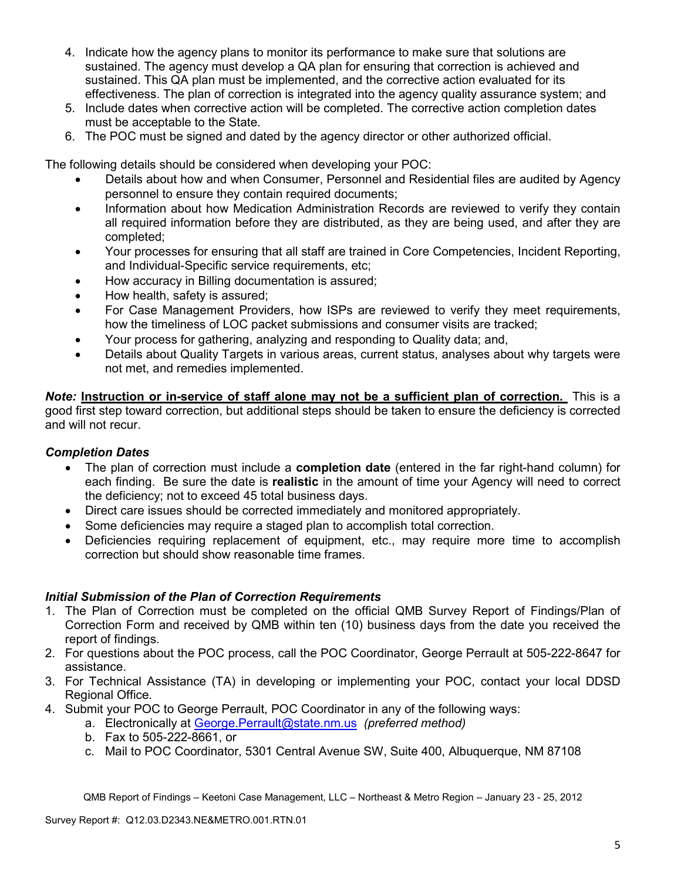- 4. Indicate how the agency plans to monitor its performance to make sure that solutions are sustained. The agency must develop a QA plan for ensuring that correction is achieved and sustained. This QA plan must be implemented, and the corrective action evaluated for its effectiveness. The plan of correction is integrated into the agency quality assurance system; and
- 5. Include dates when corrective action will be completed. The corrective action completion dates must be acceptable to the State.
- 6. The POC must be signed and dated by the agency director or other authorized official.

The following details should be considered when developing your POC:

- Details about how and when Consumer, Personnel and Residential files are audited by Agency personnel to ensure they contain required documents;
- Information about how Medication Administration Records are reviewed to verify they contain all required information before they are distributed, as they are being used, and after they are completed;
- Your processes for ensuring that all staff are trained in Core Competencies, Incident Reporting, and Individual-Specific service requirements, etc;
- How accuracy in Billing documentation is assured;
- How health, safety is assured;
- For Case Management Providers, how ISPs are reviewed to verify they meet requirements, how the timeliness of LOC packet submissions and consumer visits are tracked;
- Your process for gathering, analyzing and responding to Quality data; and,
- Details about Quality Targets in various areas, current status, analyses about why targets were not met, and remedies implemented.

*Note:* **Instruction or in-service of staff alone may not be a sufficient plan of correction.** This is a good first step toward correction, but additional steps should be taken to ensure the deficiency is corrected and will not recur.

### *Completion Dates*

- The plan of correction must include a **completion date** (entered in the far right-hand column) for each finding. Be sure the date is **realistic** in the amount of time your Agency will need to correct the deficiency; not to exceed 45 total business days.
- Direct care issues should be corrected immediately and monitored appropriately.
- Some deficiencies may require a staged plan to accomplish total correction.
- Deficiencies requiring replacement of equipment, etc., may require more time to accomplish correction but should show reasonable time frames.

### *Initial Submission of the Plan of Correction Requirements*

- 1. The Plan of Correction must be completed on the official QMB Survey Report of Findings/Plan of Correction Form and received by QMB within ten (10) business days from the date you received the report of findings.
- 2. For questions about the POC process, call the POC Coordinator, George Perrault at 505-222-8647 for assistance.
- 3. For Technical Assistance (TA) in developing or implementing your POC, contact your local DDSD Regional Office.
- 4. Submit your POC to George Perrault, POC Coordinator in any of the following ways:
	- a. Electronically at George.Perrault@state.nm.us *(preferred method)*
	- b. Fax to 505-222-8661, or
	- c. Mail to POC Coordinator, 5301 Central Avenue SW, Suite 400, Albuquerque, NM 87108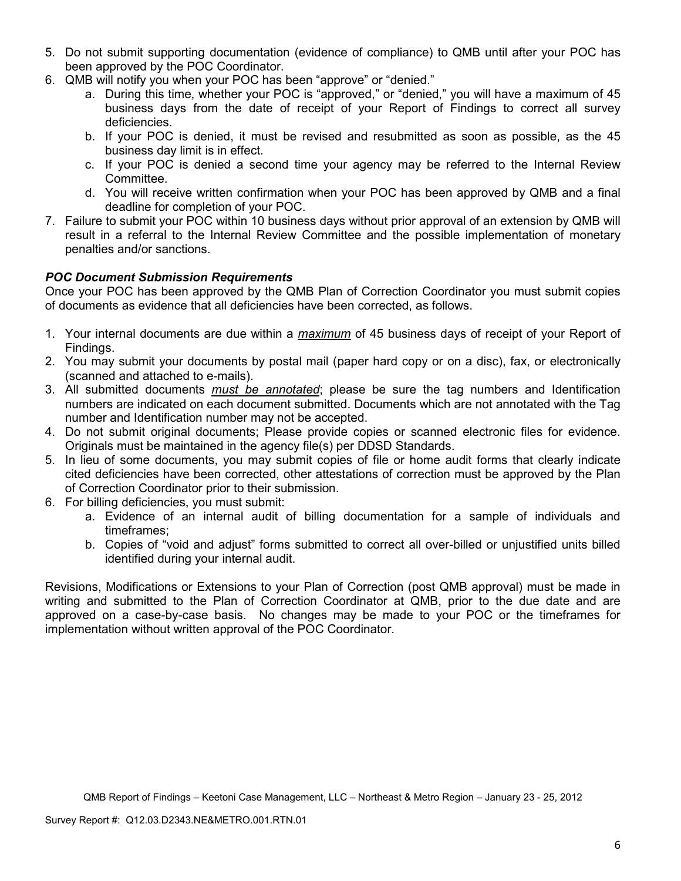- 5. Do not submit supporting documentation (evidence of compliance) to QMB until after your POC has been approved by the POC Coordinator.
- 6. QMB will notify you when your POC has been "approve" or "denied."
	- a. During this time, whether your POC is "approved," or "denied," you will have a maximum of 45 business days from the date of receipt of your Report of Findings to correct all survey deficiencies.
	- b. If your POC is denied, it must be revised and resubmitted as soon as possible, as the 45 business day limit is in effect.
	- c. If your POC is denied a second time your agency may be referred to the Internal Review Committee.
	- d. You will receive written confirmation when your POC has been approved by QMB and a final deadline for completion of your POC.
- 7. Failure to submit your POC within 10 business days without prior approval of an extension by QMB will result in a referral to the Internal Review Committee and the possible implementation of monetary penalties and/or sanctions.

## *POC Document Submission Requirements*

Once your POC has been approved by the QMB Plan of Correction Coordinator you must submit copies of documents as evidence that all deficiencies have been corrected, as follows.

- 1. Your internal documents are due within a *maximum* of 45 business days of receipt of your Report of Findings.
- 2. You may submit your documents by postal mail (paper hard copy or on a disc), fax, or electronically (scanned and attached to e-mails).
- 3. All submitted documents *must be annotated*; please be sure the tag numbers and Identification numbers are indicated on each document submitted. Documents which are not annotated with the Tag number and Identification number may not be accepted.
- 4. Do not submit original documents; Please provide copies or scanned electronic files for evidence. Originals must be maintained in the agency file(s) per DDSD Standards.
- 5. In lieu of some documents, you may submit copies of file or home audit forms that clearly indicate cited deficiencies have been corrected, other attestations of correction must be approved by the Plan of Correction Coordinator prior to their submission.
- 6. For billing deficiencies, you must submit:
	- a. Evidence of an internal audit of billing documentation for a sample of individuals and timeframes;
	- b. Copies of "void and adjust" forms submitted to correct all over-billed or unjustified units billed identified during your internal audit.

Revisions, Modifications or Extensions to your Plan of Correction (post QMB approval) must be made in writing and submitted to the Plan of Correction Coordinator at QMB, prior to the due date and are approved on a case-by-case basis. No changes may be made to your POC or the timeframes for implementation without written approval of the POC Coordinator.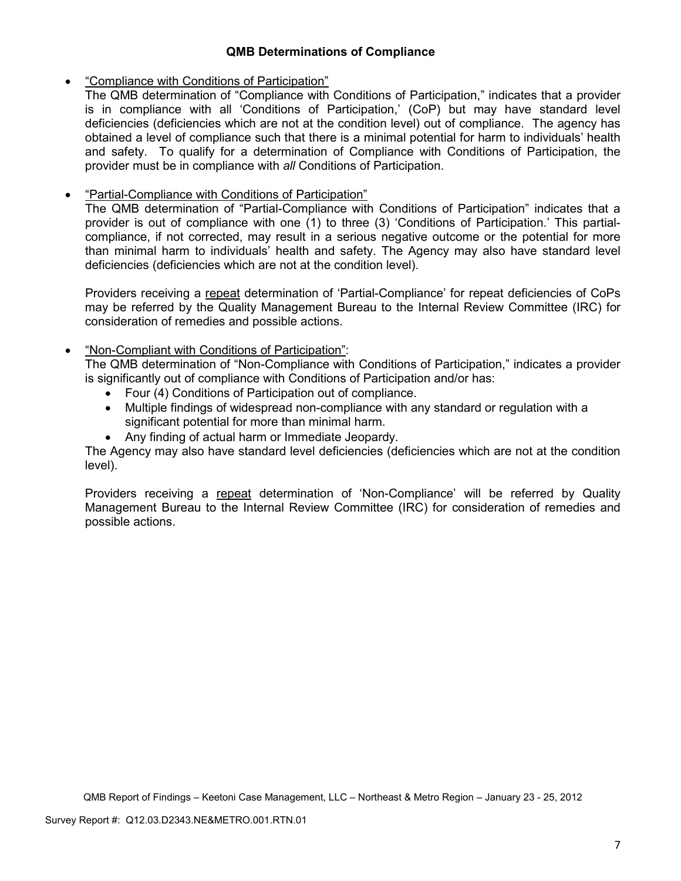## **QMB Determinations of Compliance**

## • "Compliance with Conditions of Participation"

The QMB determination of "Compliance with Conditions of Participation," indicates that a provider is in compliance with all 'Conditions of Participation,' (CoP) but may have standard level deficiencies (deficiencies which are not at the condition level) out of compliance. The agency has obtained a level of compliance such that there is a minimal potential for harm to individuals' health and safety. To qualify for a determination of Compliance with Conditions of Participation, the provider must be in compliance with *all* Conditions of Participation.

# • "Partial-Compliance with Conditions of Participation"

The QMB determination of "Partial-Compliance with Conditions of Participation" indicates that a provider is out of compliance with one (1) to three (3) 'Conditions of Participation.' This partialcompliance, if not corrected, may result in a serious negative outcome or the potential for more than minimal harm to individuals' health and safety. The Agency may also have standard level deficiencies (deficiencies which are not at the condition level).

Providers receiving a repeat determination of 'Partial-Compliance' for repeat deficiencies of CoPs may be referred by the Quality Management Bureau to the Internal Review Committee (IRC) for consideration of remedies and possible actions.

## • "Non-Compliant with Conditions of Participation":

The QMB determination of "Non-Compliance with Conditions of Participation," indicates a provider is significantly out of compliance with Conditions of Participation and/or has:

- Four (4) Conditions of Participation out of compliance.
- Multiple findings of widespread non-compliance with any standard or regulation with a significant potential for more than minimal harm.
- Any finding of actual harm or Immediate Jeopardy.

The Agency may also have standard level deficiencies (deficiencies which are not at the condition level).

Providers receiving a repeat determination of 'Non-Compliance' will be referred by Quality Management Bureau to the Internal Review Committee (IRC) for consideration of remedies and possible actions.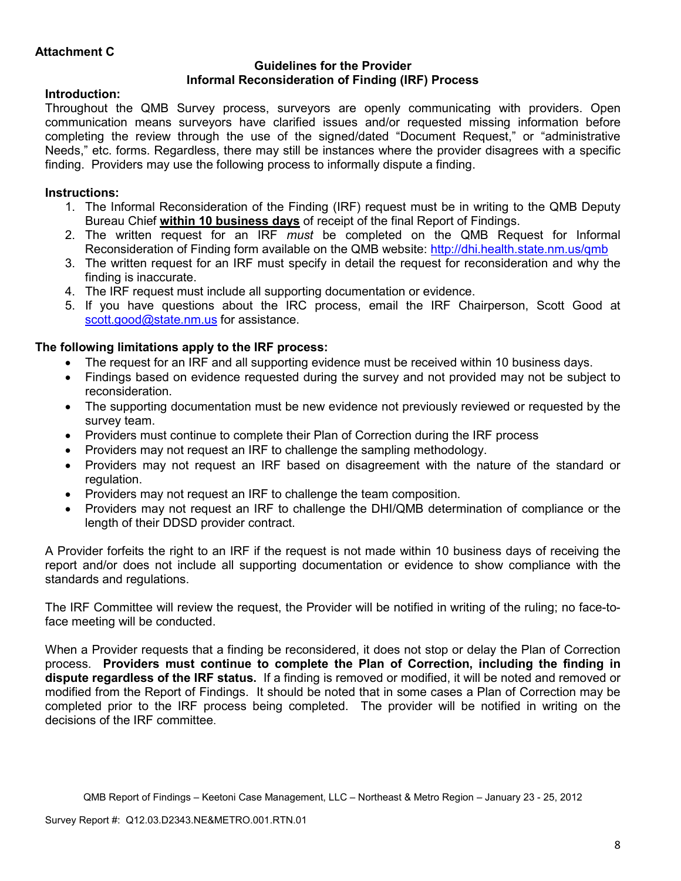### **Guidelines for the Provider Informal Reconsideration of Finding (IRF) Process**

## **Introduction:**

Throughout the QMB Survey process, surveyors are openly communicating with providers. Open communication means surveyors have clarified issues and/or requested missing information before completing the review through the use of the signed/dated "Document Request," or "administrative Needs," etc. forms. Regardless, there may still be instances where the provider disagrees with a specific finding. Providers may use the following process to informally dispute a finding.

# **Instructions:**

- 1. The Informal Reconsideration of the Finding (IRF) request must be in writing to the QMB Deputy Bureau Chief **within 10 business days** of receipt of the final Report of Findings.
- 2. The written request for an IRF *must* be completed on the QMB Request for Informal Reconsideration of Finding form available on the QMB website: http://dhi.health.state.nm.us/qmb
- 3. The written request for an IRF must specify in detail the request for reconsideration and why the finding is inaccurate.
- 4. The IRF request must include all supporting documentation or evidence.
- 5. If you have questions about the IRC process, email the IRF Chairperson, Scott Good at scott.good@state.nm.us for assistance.

## **The following limitations apply to the IRF process:**

- The request for an IRF and all supporting evidence must be received within 10 business days.
- Findings based on evidence requested during the survey and not provided may not be subject to reconsideration.
- The supporting documentation must be new evidence not previously reviewed or requested by the survey team.
- Providers must continue to complete their Plan of Correction during the IRF process
- Providers may not request an IRF to challenge the sampling methodology.
- Providers may not request an IRF based on disagreement with the nature of the standard or regulation.
- Providers may not request an IRF to challenge the team composition.
- Providers may not request an IRF to challenge the DHI/QMB determination of compliance or the length of their DDSD provider contract.

A Provider forfeits the right to an IRF if the request is not made within 10 business days of receiving the report and/or does not include all supporting documentation or evidence to show compliance with the standards and regulations.

The IRF Committee will review the request, the Provider will be notified in writing of the ruling; no face-toface meeting will be conducted.

When a Provider requests that a finding be reconsidered, it does not stop or delay the Plan of Correction process. **Providers must continue to complete the Plan of Correction, including the finding in dispute regardless of the IRF status.** If a finding is removed or modified, it will be noted and removed or modified from the Report of Findings. It should be noted that in some cases a Plan of Correction may be completed prior to the IRF process being completed. The provider will be notified in writing on the decisions of the IRF committee.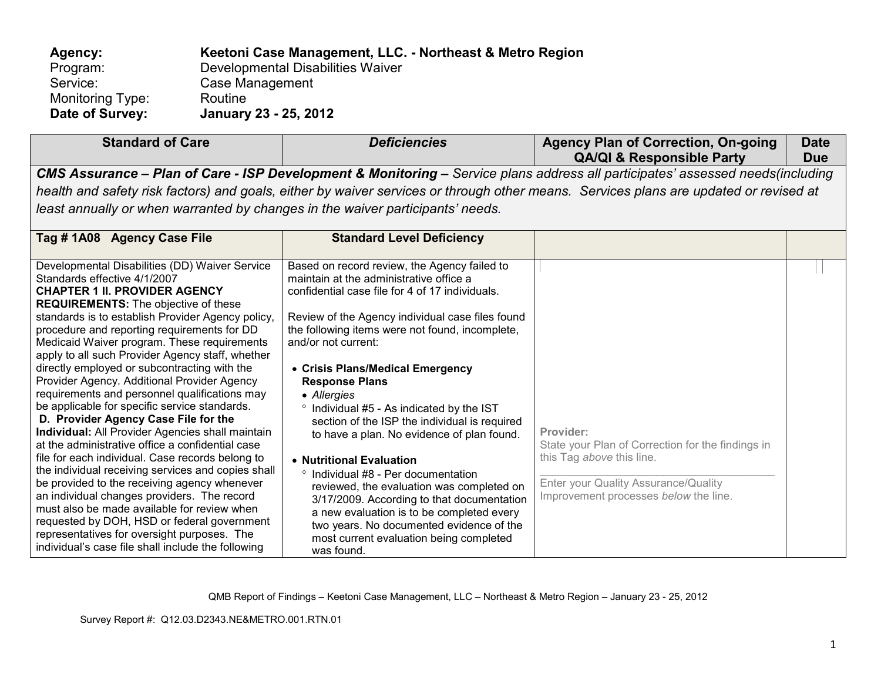| Agency:          | Keetoni Case Management, LLC. - Northeast & Metro Region |
|------------------|----------------------------------------------------------|
| Program:         | Developmental Disabilities Waiver                        |
| Service:         | Case Management                                          |
| Monitoring Type: | Routine                                                  |
| Date of Survey:  | January 23 - 25, 2012                                    |

| <b>Standard of Care</b>                                                                                                                                                                                                                                                                                                                                                                                                                                                                                                                                                                                                                                                                                                                                                                                                                        | <b>Deficiencies</b>                                                                                                                                                                                                                                                                                                                                                                                                                                                                                                                                                                     | <b>Agency Plan of Correction, On-going</b><br><b>QA/QI &amp; Responsible Party</b>          | <b>Date</b><br><b>Due</b> |  |  |
|------------------------------------------------------------------------------------------------------------------------------------------------------------------------------------------------------------------------------------------------------------------------------------------------------------------------------------------------------------------------------------------------------------------------------------------------------------------------------------------------------------------------------------------------------------------------------------------------------------------------------------------------------------------------------------------------------------------------------------------------------------------------------------------------------------------------------------------------|-----------------------------------------------------------------------------------------------------------------------------------------------------------------------------------------------------------------------------------------------------------------------------------------------------------------------------------------------------------------------------------------------------------------------------------------------------------------------------------------------------------------------------------------------------------------------------------------|---------------------------------------------------------------------------------------------|---------------------------|--|--|
| CMS Assurance - Plan of Care - ISP Development & Monitoring - Service plans address all participates' assessed needs(including<br>health and safety risk factors) and goals, either by waiver services or through other means. Services plans are updated or revised at                                                                                                                                                                                                                                                                                                                                                                                                                                                                                                                                                                        |                                                                                                                                                                                                                                                                                                                                                                                                                                                                                                                                                                                         |                                                                                             |                           |  |  |
| least annually or when warranted by changes in the waiver participants' needs.                                                                                                                                                                                                                                                                                                                                                                                                                                                                                                                                                                                                                                                                                                                                                                 |                                                                                                                                                                                                                                                                                                                                                                                                                                                                                                                                                                                         |                                                                                             |                           |  |  |
| Tag # 1A08 Agency Case File                                                                                                                                                                                                                                                                                                                                                                                                                                                                                                                                                                                                                                                                                                                                                                                                                    | <b>Standard Level Deficiency</b>                                                                                                                                                                                                                                                                                                                                                                                                                                                                                                                                                        |                                                                                             |                           |  |  |
| Developmental Disabilities (DD) Waiver Service<br>Standards effective 4/1/2007<br><b>CHAPTER 1 II. PROVIDER AGENCY</b><br><b>REQUIREMENTS:</b> The objective of these<br>standards is to establish Provider Agency policy,<br>procedure and reporting requirements for DD<br>Medicaid Waiver program. These requirements<br>apply to all such Provider Agency staff, whether<br>directly employed or subcontracting with the<br>Provider Agency. Additional Provider Agency<br>requirements and personnel qualifications may<br>be applicable for specific service standards.<br>D. Provider Agency Case File for the<br><b>Individual:</b> All Provider Agencies shall maintain<br>at the administrative office a confidential case<br>file for each individual. Case records belong to<br>the individual receiving services and copies shall | Based on record review, the Agency failed to<br>maintain at the administrative office a<br>confidential case file for 4 of 17 individuals.<br>Review of the Agency individual case files found<br>the following items were not found, incomplete,<br>and/or not current:<br>• Crisis Plans/Medical Emergency<br><b>Response Plans</b><br>• Allergies<br><sup>o</sup> Individual #5 - As indicated by the IST<br>section of the ISP the individual is required<br>to have a plan. No evidence of plan found.<br>• Nutritional Evaluation<br>$\circ$<br>Individual #8 - Per documentation | Provider:<br>State your Plan of Correction for the findings in<br>this Tag above this line. |                           |  |  |
| be provided to the receiving agency whenever<br>an individual changes providers. The record                                                                                                                                                                                                                                                                                                                                                                                                                                                                                                                                                                                                                                                                                                                                                    | reviewed, the evaluation was completed on<br>3/17/2009 According to that documentation                                                                                                                                                                                                                                                                                                                                                                                                                                                                                                  | Enter your Quality Assurance/Quality<br>Improvement processes below the line.               |                           |  |  |

be provided to the receiving agency whenever an individual changes providers. The record must also be made available for review when requested by DOH, HSD or federal government representatives for oversight purposes. The individual's case file shall include the following

° Individual #8 - Per documentation reviewed, the evaluation was completed on 3/17/2009. According to that documentation a new evaluation is to be completed every two years. No documented evidence of the most current evaluation being completed was found.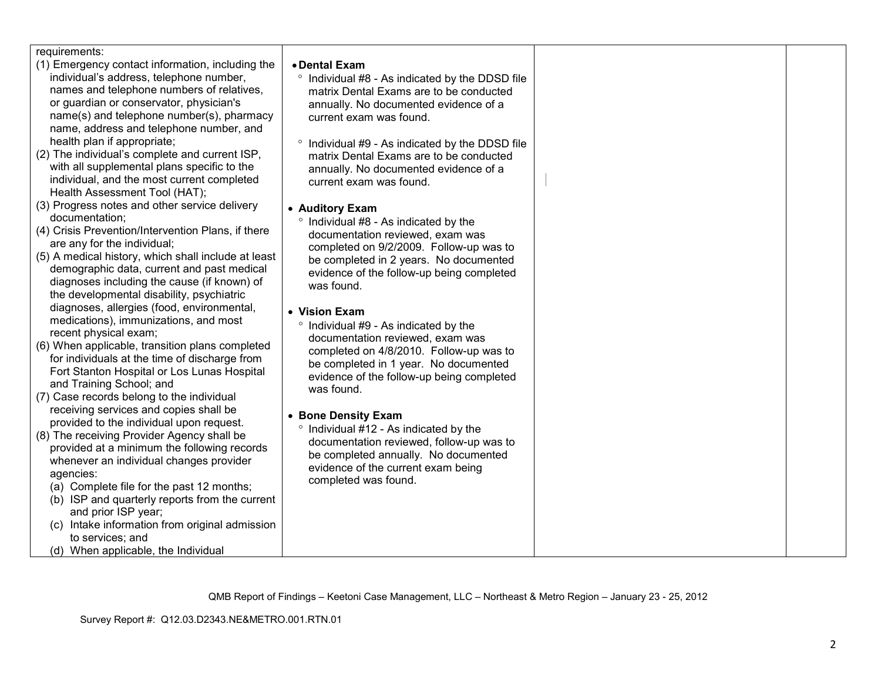| requirements:<br>(1) Emergency contact information, including the<br>individual's address, telephone number,<br>names and telephone numbers of relatives,<br>or guardian or conservator, physician's<br>name(s) and telephone number(s), pharmacy<br>name, address and telephone number, and<br>health plan if appropriate;<br>(2) The individual's complete and current ISP,<br>with all supplemental plans specific to the<br>individual, and the most current completed<br>Health Assessment Tool (HAT);<br>(3) Progress notes and other service delivery<br>documentation;<br>(4) Crisis Prevention/Intervention Plans, if there<br>are any for the individual;<br>(5) A medical history, which shall include at least<br>demographic data, current and past medical<br>diagnoses including the cause (if known) of<br>the developmental disability, psychiatric<br>diagnoses, allergies (food, environmental,<br>medications), immunizations, and most<br>recent physical exam;<br>(6) When applicable, transition plans completed<br>for individuals at the time of discharge from<br>Fort Stanton Hospital or Los Lunas Hospital<br>and Training School; and<br>(7) Case records belong to the individual<br>receiving services and copies shall be<br>provided to the individual upon request.<br>(8) The receiving Provider Agency shall be<br>provided at a minimum the following records<br>whenever an individual changes provider<br>agencies:<br>(a) Complete file for the past 12 months;<br>(b) ISP and quarterly reports from the current<br>and prior ISP year;<br>(c) Intake information from original admission<br>to services; and<br>(d) When applicable, the Individual | • Dental Exam<br>° Individual #8 - As indicated by the DDSD file<br>matrix Dental Exams are to be conducted<br>annually. No documented evidence of a<br>current exam was found.<br>Individual #9 - As indicated by the DDSD file<br>$\circ$<br>matrix Dental Exams are to be conducted<br>annually. No documented evidence of a<br>current exam was found.<br>• Auditory Exam<br>° Individual #8 - As indicated by the<br>documentation reviewed, exam was<br>completed on 9/2/2009. Follow-up was to<br>be completed in 2 years. No documented<br>evidence of the follow-up being completed<br>was found.<br>• Vision Exam<br>Individual #9 - As indicated by the<br>documentation reviewed, exam was<br>completed on 4/8/2010. Follow-up was to<br>be completed in 1 year. No documented<br>evidence of the follow-up being completed<br>was found.<br>• Bone Density Exam<br>° Individual #12 - As indicated by the<br>documentation reviewed, follow-up was to<br>be completed annually. No documented<br>evidence of the current exam being<br>completed was found. |  |
|------------------------------------------------------------------------------------------------------------------------------------------------------------------------------------------------------------------------------------------------------------------------------------------------------------------------------------------------------------------------------------------------------------------------------------------------------------------------------------------------------------------------------------------------------------------------------------------------------------------------------------------------------------------------------------------------------------------------------------------------------------------------------------------------------------------------------------------------------------------------------------------------------------------------------------------------------------------------------------------------------------------------------------------------------------------------------------------------------------------------------------------------------------------------------------------------------------------------------------------------------------------------------------------------------------------------------------------------------------------------------------------------------------------------------------------------------------------------------------------------------------------------------------------------------------------------------------------------------------------------------------------------------------------------------------------------|--------------------------------------------------------------------------------------------------------------------------------------------------------------------------------------------------------------------------------------------------------------------------------------------------------------------------------------------------------------------------------------------------------------------------------------------------------------------------------------------------------------------------------------------------------------------------------------------------------------------------------------------------------------------------------------------------------------------------------------------------------------------------------------------------------------------------------------------------------------------------------------------------------------------------------------------------------------------------------------------------------------------------------------------------------------------------|--|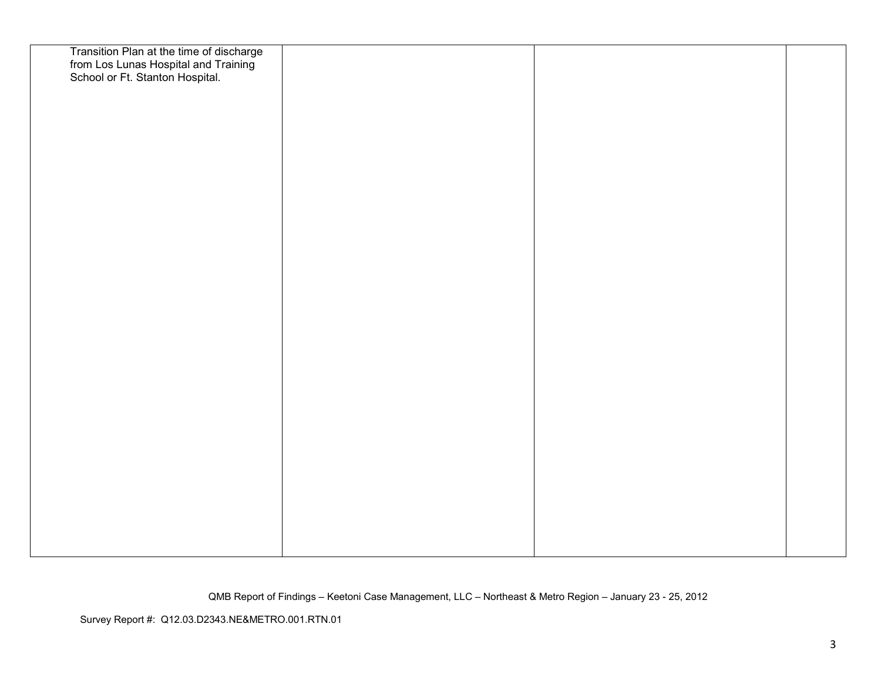| Transition Plan at the time of discharge<br>from Los Lunas Hospital and Training<br>School or Ft. Stanton Hospital. |  |  |
|---------------------------------------------------------------------------------------------------------------------|--|--|
|                                                                                                                     |  |  |
|                                                                                                                     |  |  |
|                                                                                                                     |  |  |
|                                                                                                                     |  |  |
|                                                                                                                     |  |  |
|                                                                                                                     |  |  |
|                                                                                                                     |  |  |
|                                                                                                                     |  |  |
|                                                                                                                     |  |  |
|                                                                                                                     |  |  |
|                                                                                                                     |  |  |
|                                                                                                                     |  |  |
|                                                                                                                     |  |  |
|                                                                                                                     |  |  |
|                                                                                                                     |  |  |
|                                                                                                                     |  |  |
|                                                                                                                     |  |  |
|                                                                                                                     |  |  |
|                                                                                                                     |  |  |
|                                                                                                                     |  |  |
|                                                                                                                     |  |  |
|                                                                                                                     |  |  |
|                                                                                                                     |  |  |
|                                                                                                                     |  |  |
|                                                                                                                     |  |  |
|                                                                                                                     |  |  |
|                                                                                                                     |  |  |
|                                                                                                                     |  |  |
|                                                                                                                     |  |  |
|                                                                                                                     |  |  |
|                                                                                                                     |  |  |
|                                                                                                                     |  |  |
|                                                                                                                     |  |  |
|                                                                                                                     |  |  |
|                                                                                                                     |  |  |
|                                                                                                                     |  |  |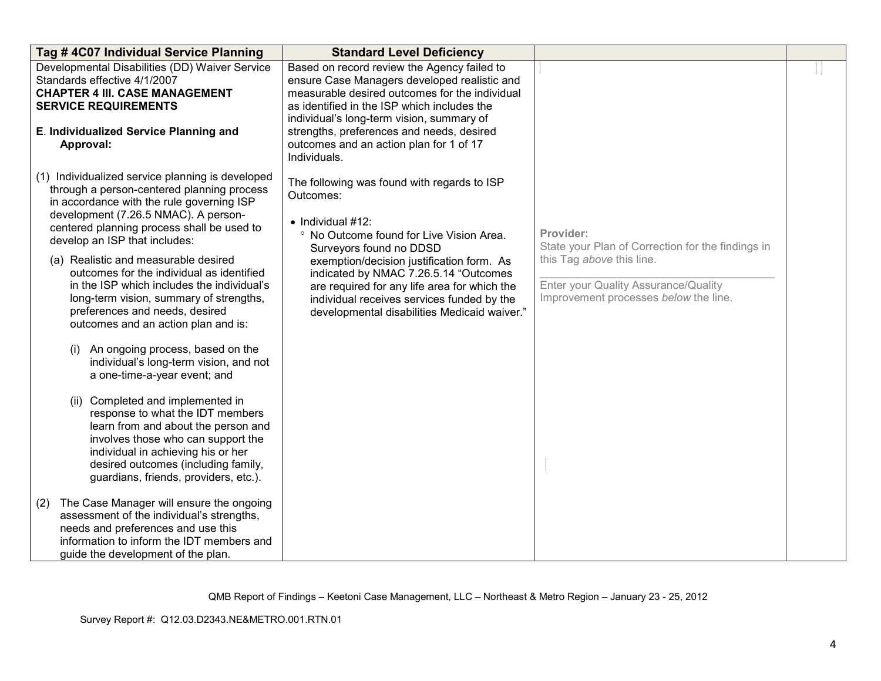| Tag #4C07 Individual Service Planning                                                                                                                                                                                                                                                                                                                                                                                                                                                                                                                                                                                                                                                                                                                                                                                                                                                                                                                                                                                                                                                                         | <b>Standard Level Deficiency</b>                                                                                                                                                                                                                                                                                                                                                                 |                                                                                                                                                                              |  |
|---------------------------------------------------------------------------------------------------------------------------------------------------------------------------------------------------------------------------------------------------------------------------------------------------------------------------------------------------------------------------------------------------------------------------------------------------------------------------------------------------------------------------------------------------------------------------------------------------------------------------------------------------------------------------------------------------------------------------------------------------------------------------------------------------------------------------------------------------------------------------------------------------------------------------------------------------------------------------------------------------------------------------------------------------------------------------------------------------------------|--------------------------------------------------------------------------------------------------------------------------------------------------------------------------------------------------------------------------------------------------------------------------------------------------------------------------------------------------------------------------------------------------|------------------------------------------------------------------------------------------------------------------------------------------------------------------------------|--|
| Developmental Disabilities (DD) Waiver Service<br>Standards effective 4/1/2007<br><b>CHAPTER 4 III. CASE MANAGEMENT</b><br><b>SERVICE REQUIREMENTS</b><br>E. Individualized Service Planning and<br>Approval:                                                                                                                                                                                                                                                                                                                                                                                                                                                                                                                                                                                                                                                                                                                                                                                                                                                                                                 | Based on record review the Agency failed to<br>ensure Case Managers developed realistic and<br>measurable desired outcomes for the individual<br>as identified in the ISP which includes the<br>individual's long-term vision, summary of<br>strengths, preferences and needs, desired<br>outcomes and an action plan for 1 of 17<br>Individuals.                                                |                                                                                                                                                                              |  |
| (1) Individualized service planning is developed<br>through a person-centered planning process<br>in accordance with the rule governing ISP<br>development (7.26.5 NMAC). A person-<br>centered planning process shall be used to<br>develop an ISP that includes:<br>(a) Realistic and measurable desired<br>outcomes for the individual as identified<br>in the ISP which includes the individual's<br>long-term vision, summary of strengths,<br>preferences and needs, desired<br>outcomes and an action plan and is:<br>An ongoing process, based on the<br>(i)<br>individual's long-term vision, and not<br>a one-time-a-year event; and<br>(ii) Completed and implemented in<br>response to what the IDT members<br>learn from and about the person and<br>involves those who can support the<br>individual in achieving his or her<br>desired outcomes (including family,<br>guardians, friends, providers, etc.).<br>The Case Manager will ensure the ongoing<br>(2)<br>assessment of the individual's strengths,<br>needs and preferences and use this<br>information to inform the IDT members and | The following was found with regards to ISP<br>Outcomes:<br>$\bullet$ Individual #12:<br>° No Outcome found for Live Vision Area.<br>Surveyors found no DDSD<br>exemption/decision justification form. As<br>indicated by NMAC 7.26.5.14 "Outcomes<br>are required for any life area for which the<br>individual receives services funded by the<br>developmental disabilities Medicaid waiver." | Provider:<br>State your Plan of Correction for the findings in<br>this Tag above this line.<br>Enter your Quality Assurance/Quality<br>Improvement processes below the line. |  |
| guide the development of the plan.                                                                                                                                                                                                                                                                                                                                                                                                                                                                                                                                                                                                                                                                                                                                                                                                                                                                                                                                                                                                                                                                            |                                                                                                                                                                                                                                                                                                                                                                                                  |                                                                                                                                                                              |  |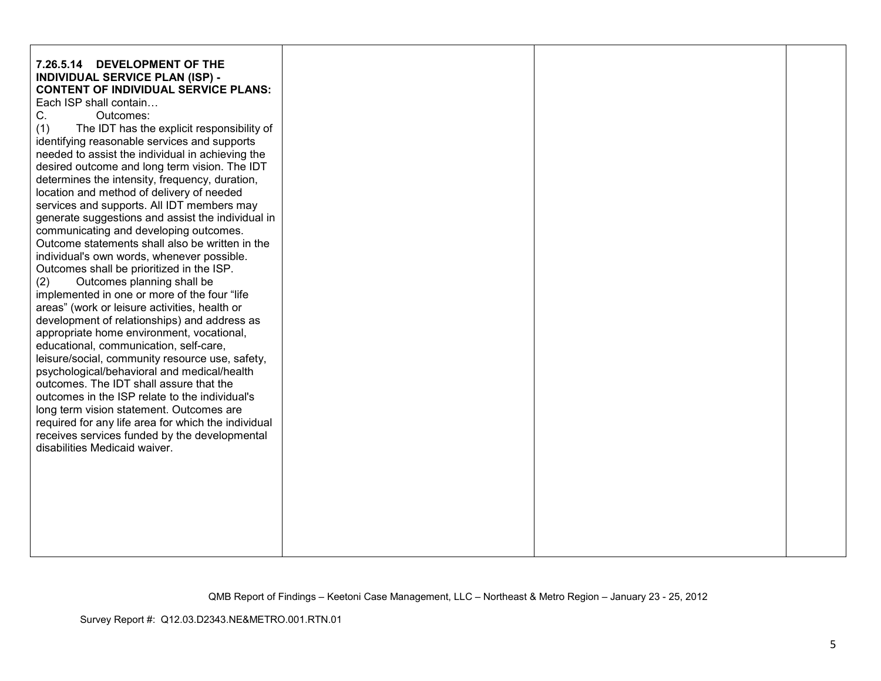| 7.26.5.14 DEVELOPMENT OF THE                                                                    |  |  |
|-------------------------------------------------------------------------------------------------|--|--|
| <b>INDIVIDUAL SERVICE PLAN (ISP) -</b><br><b>CONTENT OF INDIVIDUAL SERVICE PLANS:</b>           |  |  |
| Each ISP shall contain                                                                          |  |  |
| Outcomes:<br>C.                                                                                 |  |  |
| (1)<br>The IDT has the explicit responsibility of                                               |  |  |
| identifying reasonable services and supports                                                    |  |  |
| needed to assist the individual in achieving the                                                |  |  |
|                                                                                                 |  |  |
| desired outcome and long term vision. The IDT<br>determines the intensity, frequency, duration, |  |  |
| location and method of delivery of needed                                                       |  |  |
| services and supports. All IDT members may                                                      |  |  |
| generate suggestions and assist the individual in                                               |  |  |
| communicating and developing outcomes.                                                          |  |  |
| Outcome statements shall also be written in the                                                 |  |  |
| individual's own words, whenever possible.                                                      |  |  |
| Outcomes shall be prioritized in the ISP.                                                       |  |  |
| Outcomes planning shall be<br>(2)                                                               |  |  |
| implemented in one or more of the four "life                                                    |  |  |
| areas" (work or leisure activities, health or                                                   |  |  |
| development of relationships) and address as                                                    |  |  |
| appropriate home environment, vocational,                                                       |  |  |
| educational, communication, self-care,                                                          |  |  |
| leisure/social, community resource use, safety,                                                 |  |  |
| psychological/behavioral and medical/health                                                     |  |  |
| outcomes. The IDT shall assure that the                                                         |  |  |
| outcomes in the ISP relate to the individual's                                                  |  |  |
| long term vision statement. Outcomes are                                                        |  |  |
| required for any life area for which the individual                                             |  |  |
| receives services funded by the developmental                                                   |  |  |
| disabilities Medicaid waiver.                                                                   |  |  |
|                                                                                                 |  |  |
|                                                                                                 |  |  |
|                                                                                                 |  |  |
|                                                                                                 |  |  |
|                                                                                                 |  |  |
|                                                                                                 |  |  |
|                                                                                                 |  |  |
|                                                                                                 |  |  |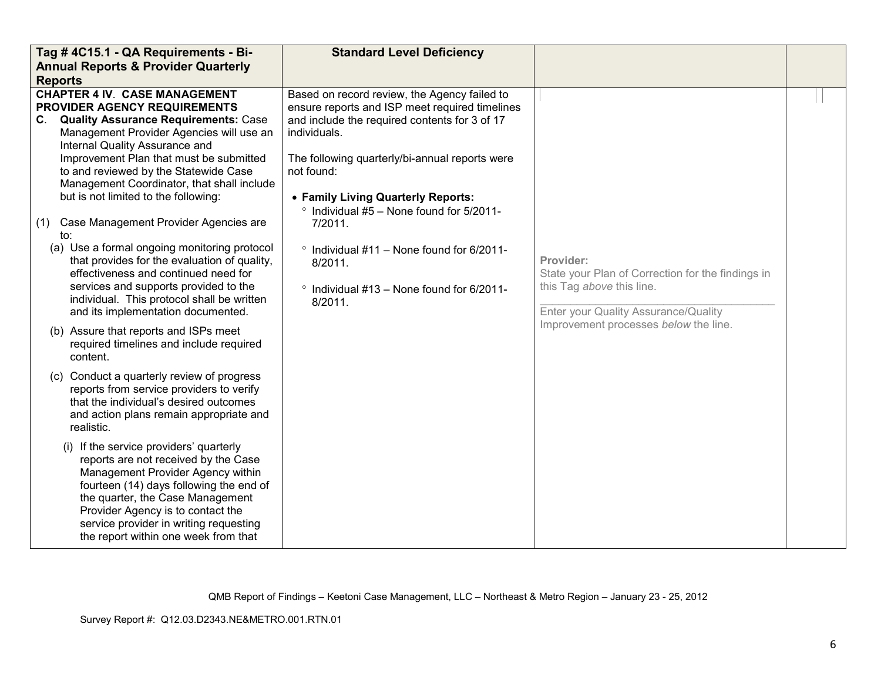| Tag #4C15.1 - QA Requirements - Bi-                                                                                                                                                                                                                                                                                                                                                                                                                                                                                                                                                                                                                                                                           | <b>Standard Level Deficiency</b>                                                                                                                                                                                                                                                                                                                                                                                                                                     |                                                                                                                                     |  |
|---------------------------------------------------------------------------------------------------------------------------------------------------------------------------------------------------------------------------------------------------------------------------------------------------------------------------------------------------------------------------------------------------------------------------------------------------------------------------------------------------------------------------------------------------------------------------------------------------------------------------------------------------------------------------------------------------------------|----------------------------------------------------------------------------------------------------------------------------------------------------------------------------------------------------------------------------------------------------------------------------------------------------------------------------------------------------------------------------------------------------------------------------------------------------------------------|-------------------------------------------------------------------------------------------------------------------------------------|--|
| <b>Annual Reports &amp; Provider Quarterly</b>                                                                                                                                                                                                                                                                                                                                                                                                                                                                                                                                                                                                                                                                |                                                                                                                                                                                                                                                                                                                                                                                                                                                                      |                                                                                                                                     |  |
| <b>Reports</b>                                                                                                                                                                                                                                                                                                                                                                                                                                                                                                                                                                                                                                                                                                |                                                                                                                                                                                                                                                                                                                                                                                                                                                                      |                                                                                                                                     |  |
| <b>CHAPTER 4 IV. CASE MANAGEMENT</b><br>PROVIDER AGENCY REQUIREMENTS<br>C.<br><b>Quality Assurance Requirements: Case</b><br>Management Provider Agencies will use an<br>Internal Quality Assurance and<br>Improvement Plan that must be submitted<br>to and reviewed by the Statewide Case<br>Management Coordinator, that shall include<br>but is not limited to the following:<br>Case Management Provider Agencies are<br>(1)<br>to:<br>(a) Use a formal ongoing monitoring protocol<br>that provides for the evaluation of quality,<br>effectiveness and continued need for<br>services and supports provided to the<br>individual. This protocol shall be written<br>and its implementation documented. | Based on record review, the Agency failed to<br>ensure reports and ISP meet required timelines<br>and include the required contents for 3 of 17<br>individuals.<br>The following quarterly/bi-annual reports were<br>not found:<br>• Family Living Quarterly Reports:<br>$\degree$ Individual #5 - None found for 5/2011-<br>7/2011.<br>$\degree$ Individual #11 - None found for 6/2011-<br>8/2011.<br>$\degree$ Individual #13 - None found for 6/2011-<br>8/2011. | Provider:<br>State your Plan of Correction for the findings in<br>this Tag above this line.<br>Enter your Quality Assurance/Quality |  |
| (b) Assure that reports and ISPs meet<br>required timelines and include required<br>content.                                                                                                                                                                                                                                                                                                                                                                                                                                                                                                                                                                                                                  |                                                                                                                                                                                                                                                                                                                                                                                                                                                                      | Improvement processes below the line.                                                                                               |  |
| (c) Conduct a quarterly review of progress<br>reports from service providers to verify<br>that the individual's desired outcomes<br>and action plans remain appropriate and<br>realistic.                                                                                                                                                                                                                                                                                                                                                                                                                                                                                                                     |                                                                                                                                                                                                                                                                                                                                                                                                                                                                      |                                                                                                                                     |  |
| (i) If the service providers' quarterly<br>reports are not received by the Case<br>Management Provider Agency within<br>fourteen (14) days following the end of<br>the quarter, the Case Management<br>Provider Agency is to contact the<br>service provider in writing requesting<br>the report within one week from that                                                                                                                                                                                                                                                                                                                                                                                    |                                                                                                                                                                                                                                                                                                                                                                                                                                                                      |                                                                                                                                     |  |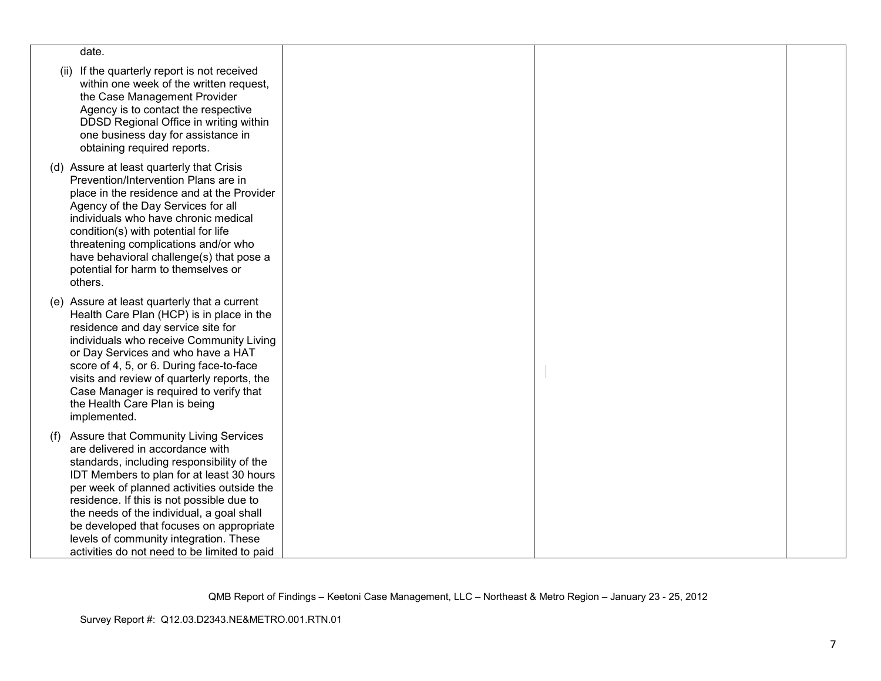| date.                                                                                                                                                                                                                                                                                                                                                                                                                                                  |  |  |
|--------------------------------------------------------------------------------------------------------------------------------------------------------------------------------------------------------------------------------------------------------------------------------------------------------------------------------------------------------------------------------------------------------------------------------------------------------|--|--|
| If the quarterly report is not received<br>(ii)<br>within one week of the written request,<br>the Case Management Provider<br>Agency is to contact the respective<br>DDSD Regional Office in writing within<br>one business day for assistance in<br>obtaining required reports.                                                                                                                                                                       |  |  |
| (d) Assure at least quarterly that Crisis<br>Prevention/Intervention Plans are in<br>place in the residence and at the Provider<br>Agency of the Day Services for all<br>individuals who have chronic medical<br>condition(s) with potential for life<br>threatening complications and/or who<br>have behavioral challenge(s) that pose a<br>potential for harm to themselves or<br>others.                                                            |  |  |
| (e) Assure at least quarterly that a current<br>Health Care Plan (HCP) is in place in the<br>residence and day service site for<br>individuals who receive Community Living<br>or Day Services and who have a HAT<br>score of 4, 5, or 6. During face-to-face<br>visits and review of quarterly reports, the<br>Case Manager is required to verify that<br>the Health Care Plan is being<br>implemented.                                               |  |  |
| (f) Assure that Community Living Services<br>are delivered in accordance with<br>standards, including responsibility of the<br>IDT Members to plan for at least 30 hours<br>per week of planned activities outside the<br>residence. If this is not possible due to<br>the needs of the individual, a goal shall<br>be developed that focuses on appropriate<br>levels of community integration. These<br>activities do not need to be limited to paid |  |  |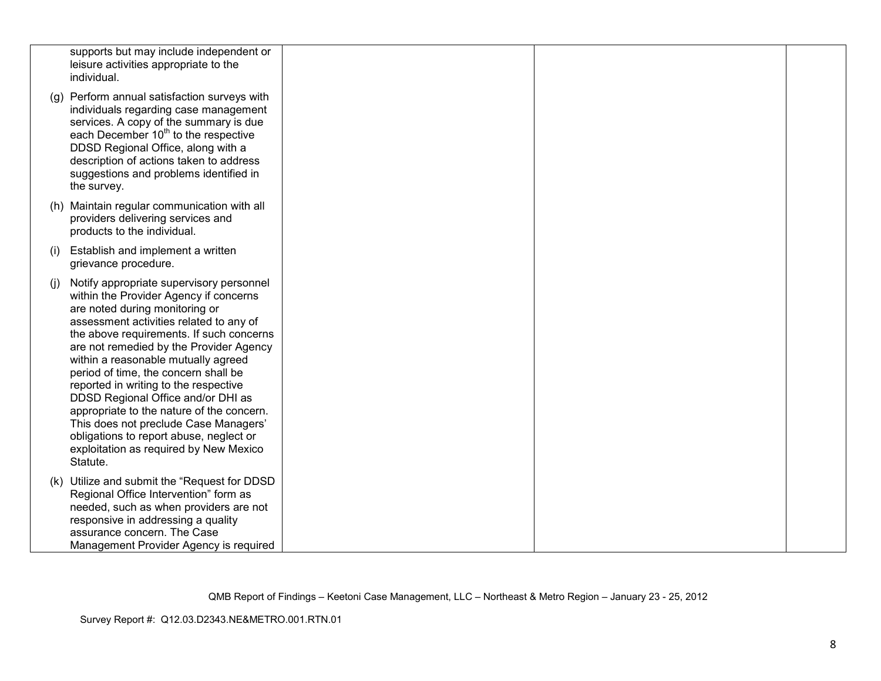|     | supports but may include independent or<br>leisure activities appropriate to the<br>individual.                                                                                                                                                                                                                                                                                                                                                                                                                                                                                                             |  |  |
|-----|-------------------------------------------------------------------------------------------------------------------------------------------------------------------------------------------------------------------------------------------------------------------------------------------------------------------------------------------------------------------------------------------------------------------------------------------------------------------------------------------------------------------------------------------------------------------------------------------------------------|--|--|
|     | (g) Perform annual satisfaction surveys with<br>individuals regarding case management<br>services. A copy of the summary is due<br>each December 10 <sup>th</sup> to the respective<br>DDSD Regional Office, along with a<br>description of actions taken to address<br>suggestions and problems identified in<br>the survey.                                                                                                                                                                                                                                                                               |  |  |
|     | (h) Maintain regular communication with all<br>providers delivering services and<br>products to the individual.                                                                                                                                                                                                                                                                                                                                                                                                                                                                                             |  |  |
| (i) | Establish and implement a written<br>grievance procedure.                                                                                                                                                                                                                                                                                                                                                                                                                                                                                                                                                   |  |  |
| (i) | Notify appropriate supervisory personnel<br>within the Provider Agency if concerns<br>are noted during monitoring or<br>assessment activities related to any of<br>the above requirements. If such concerns<br>are not remedied by the Provider Agency<br>within a reasonable mutually agreed<br>period of time, the concern shall be<br>reported in writing to the respective<br>DDSD Regional Office and/or DHI as<br>appropriate to the nature of the concern.<br>This does not preclude Case Managers'<br>obligations to report abuse, neglect or<br>exploitation as required by New Mexico<br>Statute. |  |  |
|     | (k) Utilize and submit the "Request for DDSD<br>Regional Office Intervention" form as<br>needed, such as when providers are not<br>responsive in addressing a quality<br>assurance concern. The Case<br>Management Provider Agency is required                                                                                                                                                                                                                                                                                                                                                              |  |  |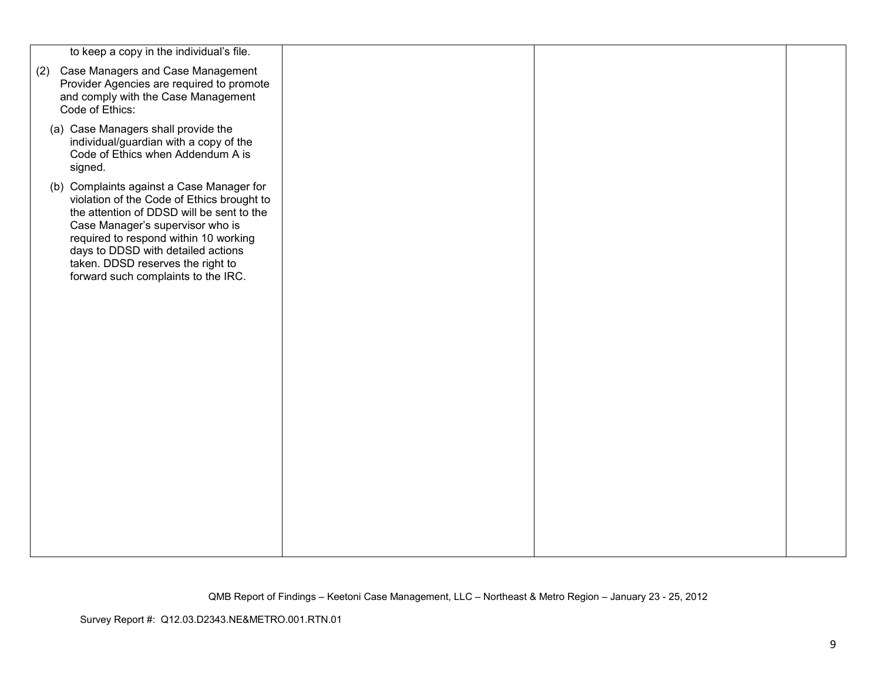| (2) Case Managers and Case Management<br>Provider Agencies are required to promote<br>and comply with the Case Management<br>Code of Ethics:<br>(a) Case Managers shall provide the<br>individual/guardian with a copy of the<br>Code of Ethics when Addendum A is<br>signed.<br>(b) Complaints against a Case Manager for<br>violation of the Code of Ethics brought to<br>the attention of DDSD will be sent to the<br>Case Manager's supervisor who is<br>required to respond within 10 working<br>days to DDSD with detailed actions<br>taken. DDSD reserves the right to<br>forward such complaints to the IRC. | to keep a copy in the individual's file. |  |  |
|----------------------------------------------------------------------------------------------------------------------------------------------------------------------------------------------------------------------------------------------------------------------------------------------------------------------------------------------------------------------------------------------------------------------------------------------------------------------------------------------------------------------------------------------------------------------------------------------------------------------|------------------------------------------|--|--|
|                                                                                                                                                                                                                                                                                                                                                                                                                                                                                                                                                                                                                      |                                          |  |  |
|                                                                                                                                                                                                                                                                                                                                                                                                                                                                                                                                                                                                                      |                                          |  |  |
|                                                                                                                                                                                                                                                                                                                                                                                                                                                                                                                                                                                                                      |                                          |  |  |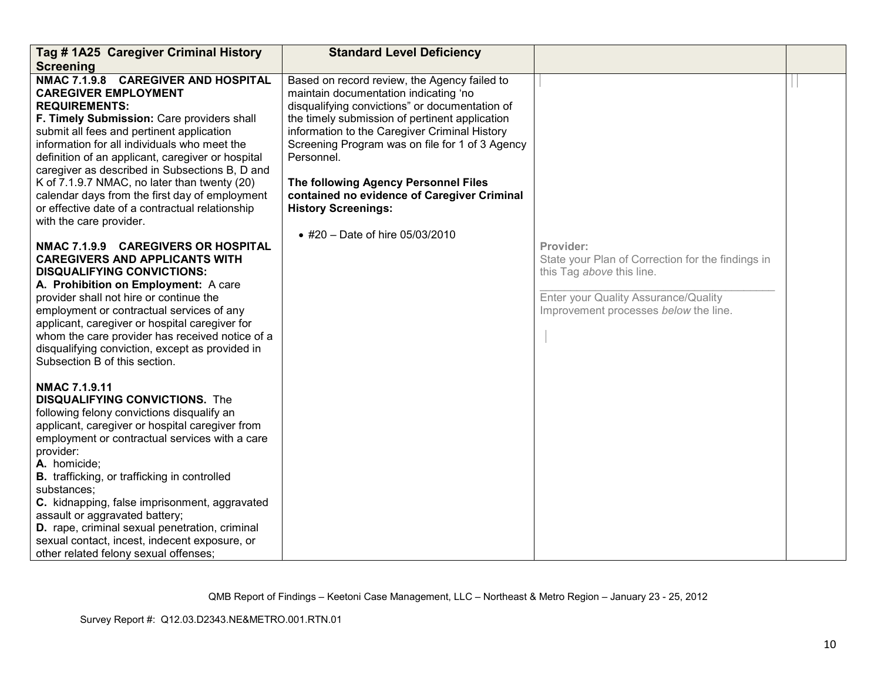| Tag # 1A25 Caregiver Criminal History                                                                                                                                                                                                                                                                                                                                                                                                                                                                                                                                                                                                                                                                                                                                                                                                                                                                      | <b>Standard Level Deficiency</b>                                                                                                                                                                                                                                                                                                                                                                                                                                      |                                                                                                                                                                              |  |
|------------------------------------------------------------------------------------------------------------------------------------------------------------------------------------------------------------------------------------------------------------------------------------------------------------------------------------------------------------------------------------------------------------------------------------------------------------------------------------------------------------------------------------------------------------------------------------------------------------------------------------------------------------------------------------------------------------------------------------------------------------------------------------------------------------------------------------------------------------------------------------------------------------|-----------------------------------------------------------------------------------------------------------------------------------------------------------------------------------------------------------------------------------------------------------------------------------------------------------------------------------------------------------------------------------------------------------------------------------------------------------------------|------------------------------------------------------------------------------------------------------------------------------------------------------------------------------|--|
| <b>Screening</b><br>NMAC 7.1.9.8 CAREGIVER AND HOSPITAL<br><b>CAREGIVER EMPLOYMENT</b><br><b>REQUIREMENTS:</b><br>F. Timely Submission: Care providers shall<br>submit all fees and pertinent application<br>information for all individuals who meet the<br>definition of an applicant, caregiver or hospital<br>caregiver as described in Subsections B, D and<br>K of 7.1.9.7 NMAC, no later than twenty (20)<br>calendar days from the first day of employment<br>or effective date of a contractual relationship<br>with the care provider.<br>NMAC 7.1.9.9 CAREGIVERS OR HOSPITAL<br><b>CAREGIVERS AND APPLICANTS WITH</b><br><b>DISQUALIFYING CONVICTIONS:</b><br>A. Prohibition on Employment: A care<br>provider shall not hire or continue the<br>employment or contractual services of any<br>applicant, caregiver or hospital caregiver for<br>whom the care provider has received notice of a | Based on record review, the Agency failed to<br>maintain documentation indicating 'no<br>disqualifying convictions" or documentation of<br>the timely submission of pertinent application<br>information to the Caregiver Criminal History<br>Screening Program was on file for 1 of 3 Agency<br>Personnel.<br>The following Agency Personnel Files<br>contained no evidence of Caregiver Criminal<br><b>History Screenings:</b><br>• #20 – Date of hire $05/03/2010$ | Provider:<br>State your Plan of Correction for the findings in<br>this Tag above this line.<br>Enter your Quality Assurance/Quality<br>Improvement processes below the line. |  |
| disqualifying conviction, except as provided in<br>Subsection B of this section.<br><b>NMAC 7.1.9.11</b><br><b>DISQUALIFYING CONVICTIONS.</b> The<br>following felony convictions disqualify an<br>applicant, caregiver or hospital caregiver from<br>employment or contractual services with a care<br>provider:<br>A. homicide;<br><b>B.</b> trafficking, or trafficking in controlled<br>substances;<br>C. kidnapping, false imprisonment, aggravated<br>assault or aggravated battery;<br>D. rape, criminal sexual penetration, criminal<br>sexual contact, incest, indecent exposure, or<br>other related felony sexual offenses;                                                                                                                                                                                                                                                                     |                                                                                                                                                                                                                                                                                                                                                                                                                                                                       |                                                                                                                                                                              |  |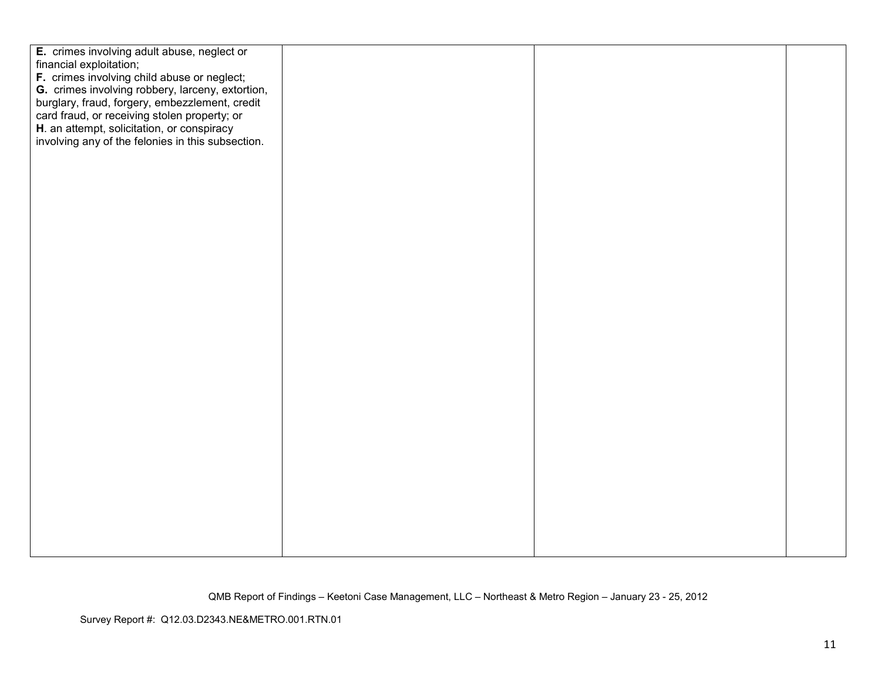| E. crimes involving adult abuse, neglect or       |  |  |
|---------------------------------------------------|--|--|
| financial exploitation;                           |  |  |
| F. crimes involving child abuse or neglect;       |  |  |
| G. crimes involving robbery, larceny, extortion,  |  |  |
| burglary, fraud, forgery, embezzlement, credit    |  |  |
| card fraud, or receiving stolen property; or      |  |  |
| H. an attempt, solicitation, or conspiracy        |  |  |
| involving any of the felonies in this subsection. |  |  |
|                                                   |  |  |
|                                                   |  |  |
|                                                   |  |  |
|                                                   |  |  |
|                                                   |  |  |
|                                                   |  |  |
|                                                   |  |  |
|                                                   |  |  |
|                                                   |  |  |
|                                                   |  |  |
|                                                   |  |  |
|                                                   |  |  |
|                                                   |  |  |
|                                                   |  |  |
|                                                   |  |  |
|                                                   |  |  |
|                                                   |  |  |
|                                                   |  |  |
|                                                   |  |  |
|                                                   |  |  |
|                                                   |  |  |
|                                                   |  |  |
|                                                   |  |  |
|                                                   |  |  |
|                                                   |  |  |
|                                                   |  |  |
|                                                   |  |  |
|                                                   |  |  |
|                                                   |  |  |
|                                                   |  |  |
|                                                   |  |  |
|                                                   |  |  |
|                                                   |  |  |
|                                                   |  |  |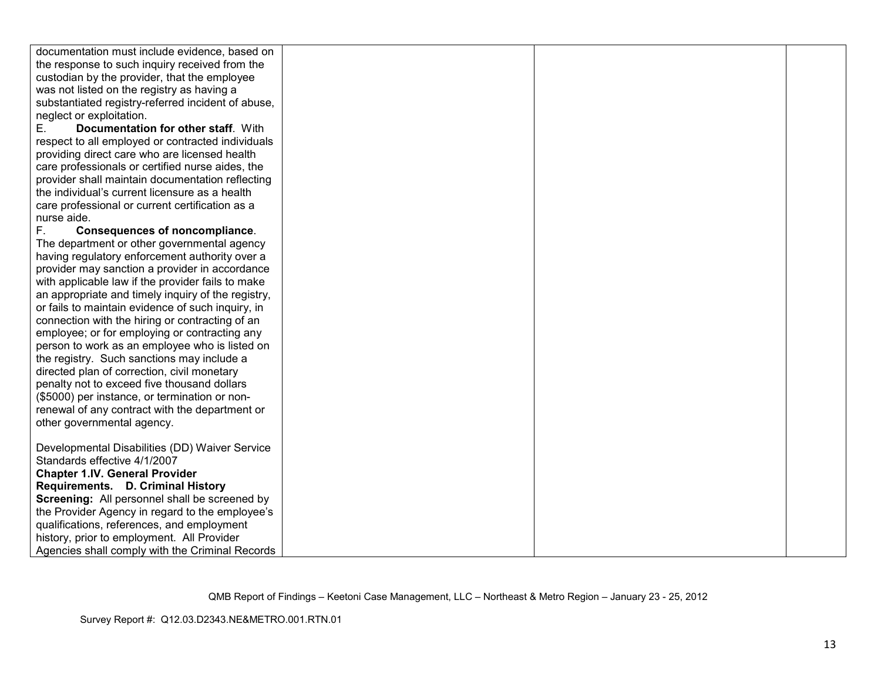| documentation must include evidence, based on                   |  |  |
|-----------------------------------------------------------------|--|--|
| the response to such inquiry received from the                  |  |  |
| custodian by the provider, that the employee                    |  |  |
| was not listed on the registry as having a                      |  |  |
| substantiated registry-referred incident of abuse,              |  |  |
|                                                                 |  |  |
| neglect or exploitation.<br>Documentation for other staff. With |  |  |
| Е.                                                              |  |  |
| respect to all employed or contracted individuals               |  |  |
| providing direct care who are licensed health                   |  |  |
| care professionals or certified nurse aides, the                |  |  |
| provider shall maintain documentation reflecting                |  |  |
| the individual's current licensure as a health                  |  |  |
| care professional or current certification as a                 |  |  |
| nurse aide.                                                     |  |  |
| F.<br><b>Consequences of noncompliance.</b>                     |  |  |
| The department or other governmental agency                     |  |  |
| having regulatory enforcement authority over a                  |  |  |
| provider may sanction a provider in accordance                  |  |  |
| with applicable law if the provider fails to make               |  |  |
| an appropriate and timely inquiry of the registry,              |  |  |
| or fails to maintain evidence of such inquiry, in               |  |  |
| connection with the hiring or contracting of an                 |  |  |
| employee; or for employing or contracting any                   |  |  |
| person to work as an employee who is listed on                  |  |  |
| the registry. Such sanctions may include a                      |  |  |
| directed plan of correction, civil monetary                     |  |  |
| penalty not to exceed five thousand dollars                     |  |  |
| (\$5000) per instance, or termination or non-                   |  |  |
| renewal of any contract with the department or                  |  |  |
| other governmental agency.                                      |  |  |
|                                                                 |  |  |
| Developmental Disabilities (DD) Waiver Service                  |  |  |
| Standards effective 4/1/2007                                    |  |  |
| <b>Chapter 1.IV. General Provider</b>                           |  |  |
| Requirements. D. Criminal History                               |  |  |
| Screening: All personnel shall be screened by                   |  |  |
| the Provider Agency in regard to the employee's                 |  |  |
| qualifications, references, and employment                      |  |  |
| history, prior to employment. All Provider                      |  |  |
| Agencies shall comply with the Criminal Records                 |  |  |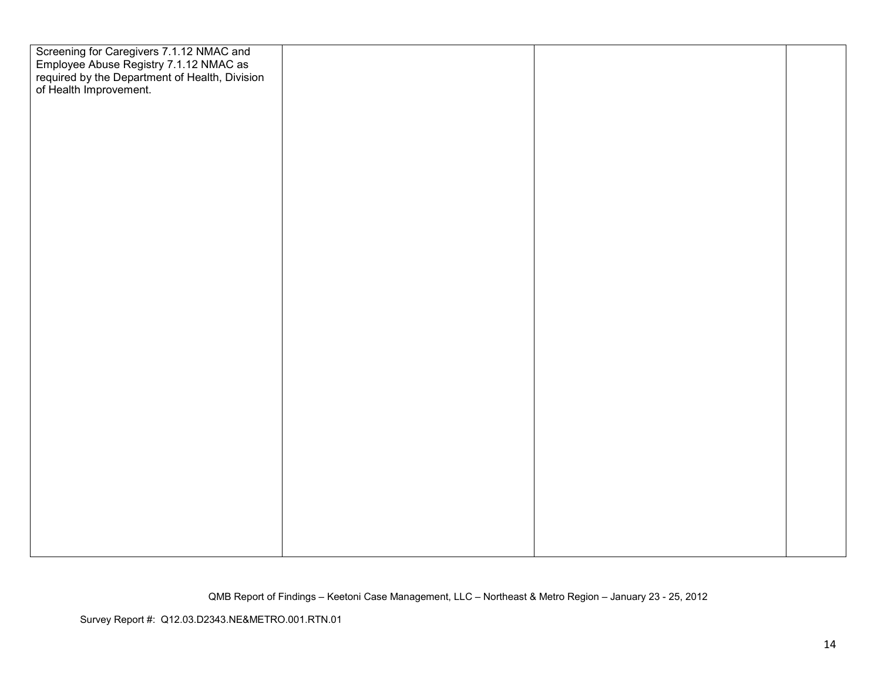| Screening for Caregivers 7.1.12 NMAC and<br>Employee Abuse Registry 7.1.12 NMAC as<br>required by the Department of Health, Division<br>of Health Improvement. |  |  |
|----------------------------------------------------------------------------------------------------------------------------------------------------------------|--|--|
|                                                                                                                                                                |  |  |
|                                                                                                                                                                |  |  |
|                                                                                                                                                                |  |  |
|                                                                                                                                                                |  |  |
|                                                                                                                                                                |  |  |
|                                                                                                                                                                |  |  |
|                                                                                                                                                                |  |  |
|                                                                                                                                                                |  |  |
|                                                                                                                                                                |  |  |
|                                                                                                                                                                |  |  |
|                                                                                                                                                                |  |  |
|                                                                                                                                                                |  |  |
|                                                                                                                                                                |  |  |
|                                                                                                                                                                |  |  |
|                                                                                                                                                                |  |  |
|                                                                                                                                                                |  |  |
|                                                                                                                                                                |  |  |
|                                                                                                                                                                |  |  |
|                                                                                                                                                                |  |  |
|                                                                                                                                                                |  |  |
|                                                                                                                                                                |  |  |
|                                                                                                                                                                |  |  |
|                                                                                                                                                                |  |  |
|                                                                                                                                                                |  |  |
|                                                                                                                                                                |  |  |
|                                                                                                                                                                |  |  |
|                                                                                                                                                                |  |  |
|                                                                                                                                                                |  |  |
|                                                                                                                                                                |  |  |
|                                                                                                                                                                |  |  |
|                                                                                                                                                                |  |  |
|                                                                                                                                                                |  |  |
|                                                                                                                                                                |  |  |
|                                                                                                                                                                |  |  |
|                                                                                                                                                                |  |  |
|                                                                                                                                                                |  |  |
|                                                                                                                                                                |  |  |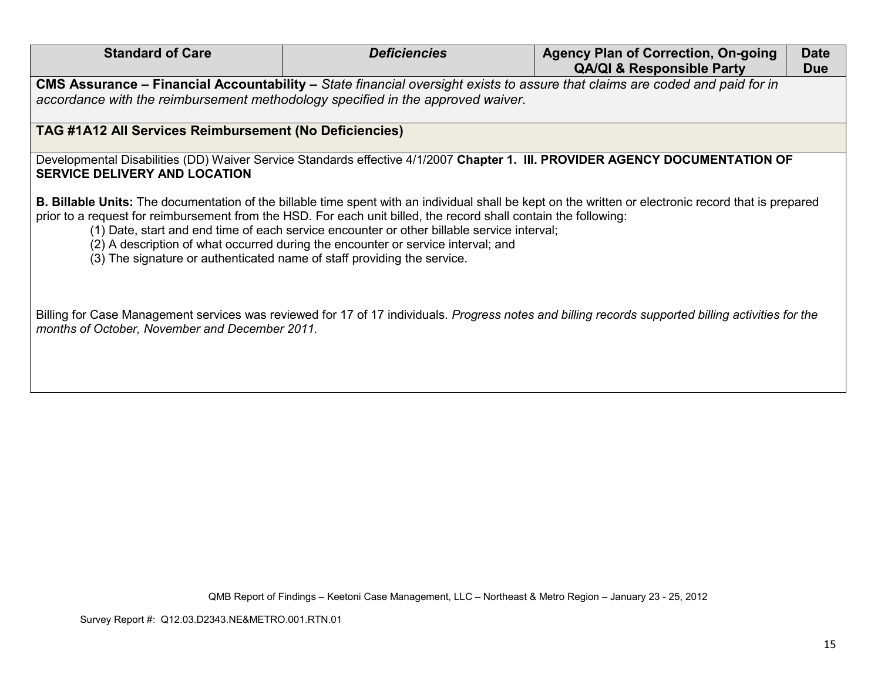| <b>Standard of Care</b>                                                                                                                                                                                                                                                                                                                                                                                                                                                                                                                       | <b>Deficiencies</b> | <b>Agency Plan of Correction, On-going</b><br><b>QA/QI &amp; Responsible Party</b> | <b>Date</b><br><b>Due</b> |  |
|-----------------------------------------------------------------------------------------------------------------------------------------------------------------------------------------------------------------------------------------------------------------------------------------------------------------------------------------------------------------------------------------------------------------------------------------------------------------------------------------------------------------------------------------------|---------------------|------------------------------------------------------------------------------------|---------------------------|--|
| CMS Assurance – Financial Accountability – State financial oversight exists to assure that claims are coded and paid for in                                                                                                                                                                                                                                                                                                                                                                                                                   |                     |                                                                                    |                           |  |
| accordance with the reimbursement methodology specified in the approved waiver.                                                                                                                                                                                                                                                                                                                                                                                                                                                               |                     |                                                                                    |                           |  |
| <b>TAG #1A12 All Services Reimbursement (No Deficiencies)</b>                                                                                                                                                                                                                                                                                                                                                                                                                                                                                 |                     |                                                                                    |                           |  |
| Developmental Disabilities (DD) Waiver Service Standards effective 4/1/2007 Chapter 1. III. PROVIDER AGENCY DOCUMENTATION OF<br><b>SERVICE DELIVERY AND LOCATION</b>                                                                                                                                                                                                                                                                                                                                                                          |                     |                                                                                    |                           |  |
| <b>B. Billable Units:</b> The documentation of the billable time spent with an individual shall be kept on the written or electronic record that is prepared<br>prior to a request for reimbursement from the HSD. For each unit billed, the record shall contain the following:<br>(1) Date, start and end time of each service encounter or other billable service interval;<br>(2) A description of what occurred during the encounter or service interval; and<br>(3) The signature or authenticated name of staff providing the service. |                     |                                                                                    |                           |  |
| Billing for Case Management services was reviewed for 17 of 17 individuals. Progress notes and billing records supported billing activities for the<br>months of October, November and December 2011.                                                                                                                                                                                                                                                                                                                                         |                     |                                                                                    |                           |  |
|                                                                                                                                                                                                                                                                                                                                                                                                                                                                                                                                               |                     |                                                                                    |                           |  |